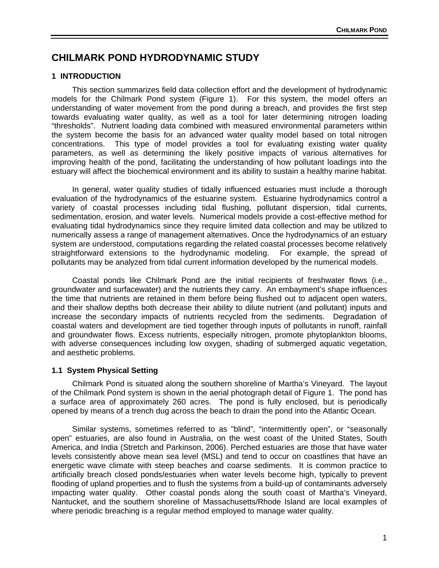# **CHILMARK POND HYDRODYNAMIC STUDY**

# **1 INTRODUCTION**

 This section summarizes field data collection effort and the development of hydrodynamic models for the Chilmark Pond system (Figure 1). For this system, the model offers an understanding of water movement from the pond during a breach, and provides the first step towards evaluating water quality, as well as a tool for later determining nitrogen loading "thresholds". Nutrient loading data combined with measured environmental parameters within the system become the basis for an advanced water quality model based on total nitrogen concentrations. This type of model provides a tool for evaluating existing water quality parameters, as well as determining the likely positive impacts of various alternatives for improving health of the pond, facilitating the understanding of how pollutant loadings into the estuary will affect the biochemical environment and its ability to sustain a healthy marine habitat.

 In general, water quality studies of tidally influenced estuaries must include a thorough evaluation of the hydrodynamics of the estuarine system. Estuarine hydrodynamics control a variety of coastal processes including tidal flushing, pollutant dispersion, tidal currents, sedimentation, erosion, and water levels. Numerical models provide a cost-effective method for evaluating tidal hydrodynamics since they require limited data collection and may be utilized to numerically assess a range of management alternatives. Once the hydrodynamics of an estuary system are understood, computations regarding the related coastal processes become relatively straightforward extensions to the hydrodynamic modeling. For example, the spread of pollutants may be analyzed from tidal current information developed by the numerical models.

 Coastal ponds like Chilmark Pond are the initial recipients of freshwater flows (i.e., groundwater and surfacewater) and the nutrients they carry. An embayment's shape influences the time that nutrients are retained in them before being flushed out to adjacent open waters, and their shallow depths both decrease their ability to dilute nutrient (and pollutant) inputs and increase the secondary impacts of nutrients recycled from the sediments. Degradation of coastal waters and development are tied together through inputs of pollutants in runoff, rainfall and groundwater flows. Excess nutrients, especially nitrogen, promote phytoplankton blooms, with adverse consequences including low oxygen, shading of submerged aquatic vegetation, and aesthetic problems.

## **1.1 System Physical Setting**

 Chilmark Pond is situated along the southern shoreline of Martha's Vineyard. The layout of the Chilmark Pond system is shown in the aerial photograph detail of Figure 1. The pond has a surface area of approximately 260 acres. The pond is fully enclosed, but is periodically opened by means of a trench dug across the beach to drain the pond into the Atlantic Ocean.

 Similar systems, sometimes referred to as "blind", "intermittently open", or "seasonally open" estuaries, are also found in Australia, on the west coast of the United States, South America, and India (Stretch and Parkinson, 2006). Perched estuaries are those that have water levels consistently above mean sea level (MSL) and tend to occur on coastlines that have an energetic wave climate with steep beaches and coarse sediments. It is common practice to artificially breach closed ponds/estuaries when water levels become high, typically to prevent flooding of upland properties and to flush the systems from a build-up of contaminants adversely impacting water quality. Other coastal ponds along the south coast of Martha's Vineyard, Nantucket, and the southern shoreline of Massachusetts/Rhode Island are local examples of where periodic breaching is a regular method employed to manage water quality.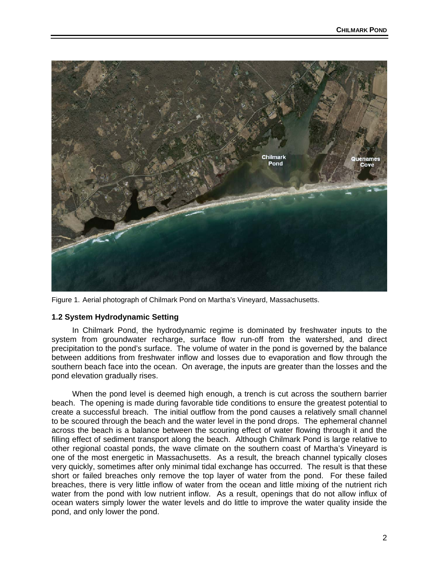

Figure 1. Aerial photograph of Chilmark Pond on Martha's Vineyard, Massachusetts.

## **1.2 System Hydrodynamic Setting**

 In Chilmark Pond, the hydrodynamic regime is dominated by freshwater inputs to the system from groundwater recharge, surface flow run-off from the watershed, and direct precipitation to the pond's surface. The volume of water in the pond is governed by the balance between additions from freshwater inflow and losses due to evaporation and flow through the southern beach face into the ocean. On average, the inputs are greater than the losses and the pond elevation gradually rises.

 When the pond level is deemed high enough, a trench is cut across the southern barrier beach. The opening is made during favorable tide conditions to ensure the greatest potential to create a successful breach. The initial outflow from the pond causes a relatively small channel to be scoured through the beach and the water level in the pond drops. The ephemeral channel across the beach is a balance between the scouring effect of water flowing through it and the filling effect of sediment transport along the beach. Although Chilmark Pond is large relative to other regional coastal ponds, the wave climate on the southern coast of Martha's Vineyard is one of the most energetic in Massachusetts. As a result, the breach channel typically closes very quickly, sometimes after only minimal tidal exchange has occurred. The result is that these short or failed breaches only remove the top layer of water from the pond. For these failed breaches, there is very little inflow of water from the ocean and little mixing of the nutrient rich water from the pond with low nutrient inflow. As a result, openings that do not allow influx of ocean waters simply lower the water levels and do little to improve the water quality inside the pond, and only lower the pond.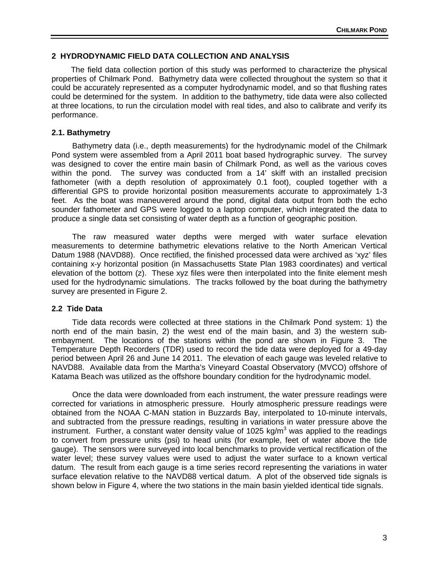## **2 HYDRODYNAMIC FIELD DATA COLLECTION AND ANALYSIS**

 The field data collection portion of this study was performed to characterize the physical properties of Chilmark Pond. Bathymetry data were collected throughout the system so that it could be accurately represented as a computer hydrodynamic model, and so that flushing rates could be determined for the system. In addition to the bathymetry, tide data were also collected at three locations, to run the circulation model with real tides, and also to calibrate and verify its performance.

### **2.1. Bathymetry**

 Bathymetry data (i.e., depth measurements) for the hydrodynamic model of the Chilmark Pond system were assembled from a April 2011 boat based hydrographic survey. The survey was designed to cover the entire main basin of Chilmark Pond, as well as the various coves within the pond. The survey was conducted from a 14' skiff with an installed precision fathometer (with a depth resolution of approximately 0.1 foot), coupled together with a differential GPS to provide horizontal position measurements accurate to approximately 1-3 feet. As the boat was maneuvered around the pond, digital data output from both the echo sounder fathometer and GPS were logged to a laptop computer, which integrated the data to produce a single data set consisting of water depth as a function of geographic position.

 The raw measured water depths were merged with water surface elevation measurements to determine bathymetric elevations relative to the North American Vertical Datum 1988 (NAVD88). Once rectified, the finished processed data were archived as 'xyz' files containing x-y horizontal position (in Massachusetts State Plan 1983 coordinates) and vertical elevation of the bottom (z). These xyz files were then interpolated into the finite element mesh used for the hydrodynamic simulations. The tracks followed by the boat during the bathymetry survey are presented in Figure 2.

#### **2.2 Tide Data**

 Tide data records were collected at three stations in the Chilmark Pond system: 1) the north end of the main basin, 2) the west end of the main basin, and 3) the western subembayment. The locations of the stations within the pond are shown in Figure 3. The Temperature Depth Recorders (TDR) used to record the tide data were deployed for a 49-day period between April 26 and June 14 2011. The elevation of each gauge was leveled relative to NAVD88. Available data from the Martha's Vineyard Coastal Observatory (MVCO) offshore of Katama Beach was utilized as the offshore boundary condition for the hydrodynamic model.

 Once the data were downloaded from each instrument, the water pressure readings were corrected for variations in atmospheric pressure. Hourly atmospheric pressure readings were obtained from the NOAA C-MAN station in Buzzards Bay, interpolated to 10-minute intervals, and subtracted from the pressure readings, resulting in variations in water pressure above the instrument. Further, a constant water density value of 1025 kg/m<sup>3</sup> was applied to the readings to convert from pressure units (psi) to head units (for example, feet of water above the tide gauge). The sensors were surveyed into local benchmarks to provide vertical rectification of the water level; these survey values were used to adjust the water surface to a known vertical datum. The result from each gauge is a time series record representing the variations in water surface elevation relative to the NAVD88 vertical datum. A plot of the observed tide signals is shown below in Figure 4, where the two stations in the main basin yielded identical tide signals.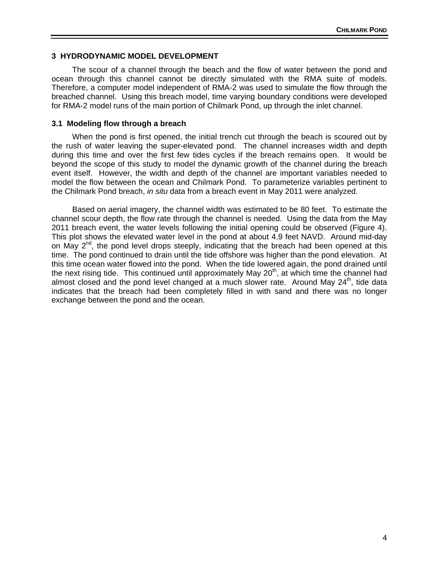# **3 HYDRODYNAMIC MODEL DEVELOPMENT**

 The scour of a channel through the beach and the flow of water between the pond and ocean through this channel cannot be directly simulated with the RMA suite of models. Therefore, a computer model independent of RMA-2 was used to simulate the flow through the breached channel. Using this breach model, time varying boundary conditions were developed for RMA-2 model runs of the main portion of Chilmark Pond, up through the inlet channel.

#### **3.1 Modeling flow through a breach**

 When the pond is first opened, the initial trench cut through the beach is scoured out by the rush of water leaving the super-elevated pond. The channel increases width and depth during this time and over the first few tides cycles if the breach remains open. It would be beyond the scope of this study to model the dynamic growth of the channel during the breach event itself. However, the width and depth of the channel are important variables needed to model the flow between the ocean and Chilmark Pond. To parameterize variables pertinent to the Chilmark Pond breach, *in situ* data from a breach event in May 2011 were analyzed.

 Based on aerial imagery, the channel width was estimated to be 80 feet. To estimate the channel scour depth, the flow rate through the channel is needed. Using the data from the May 2011 breach event, the water levels following the initial opening could be observed (Figure 4). This plot shows the elevated water level in the pond at about 4.9 feet NAVD. Around mid-day on May  $2^{nd}$ , the pond level drops steeply, indicating that the breach had been opened at this time. The pond continued to drain until the tide offshore was higher than the pond elevation. At this time ocean water flowed into the pond. When the tide lowered again, the pond drained until the next rising tide. This continued until approximately May 20<sup>th</sup>, at which time the channel had almost closed and the pond level changed at a much slower rate. Around May  $24<sup>th</sup>$ , tide data indicates that the breach had been completely filled in with sand and there was no longer exchange between the pond and the ocean.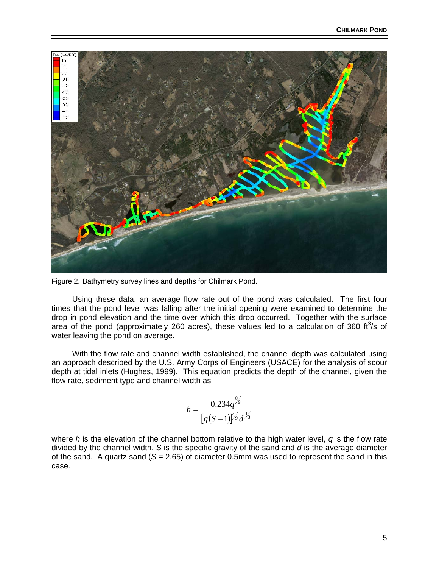

Figure 2. Bathymetry survey lines and depths for Chilmark Pond.

 Using these data, an average flow rate out of the pond was calculated. The first four times that the pond level was falling after the initial opening were examined to determine the drop in pond elevation and the time over which this drop occurred. Together with the surface area of the pond (approximately 260 acres), these values led to a calculation of 360 ft<sup>3</sup>/s of water leaving the pond on average.

 With the flow rate and channel width established, the channel depth was calculated using an approach described by the U.S. Army Corps of Engineers (USACE) for the analysis of scour depth at tidal inlets (Hughes, 1999). This equation predicts the depth of the channel, given the flow rate, sediment type and channel width as

$$
h = \frac{0.234q^{\frac{8}{3}}}{[g(S-1)]^{\frac{4}{3}}d^{\frac{1}{3}}}
$$

where *h* is the elevation of the channel bottom relative to the high water level, *q* is the flow rate divided by the channel width, *S* is the specific gravity of the sand and *d* is the average diameter of the sand. A quartz sand  $(S = 2.65)$  of diameter 0.5mm was used to represent the sand in this case.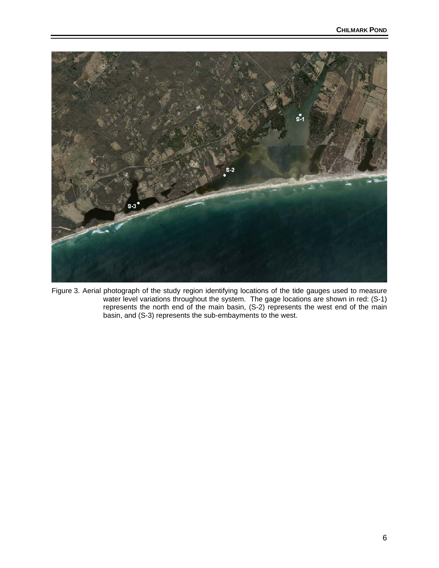

Figure 3. Aerial photograph of the study region identifying locations of the tide gauges used to measure water level variations throughout the system. The gage locations are shown in red: (S-1) represents the north end of the main basin, (S-2) represents the west end of the main basin, and (S-3) represents the sub-embayments to the west.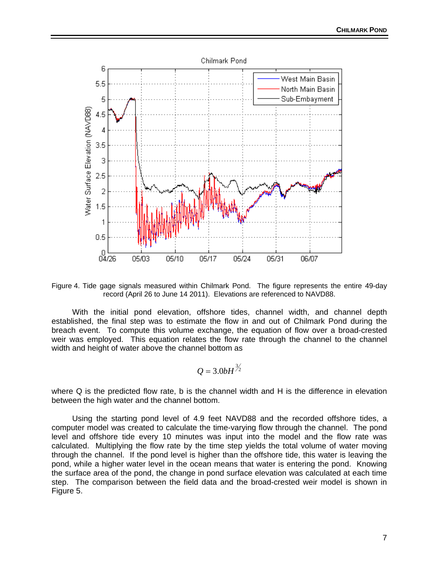

Figure 4. Tide gage signals measured within Chilmark Pond. The figure represents the entire 49-day record (April 26 to June 14 2011). Elevations are referenced to NAVD88.

 With the initial pond elevation, offshore tides, channel width, and channel depth established, the final step was to estimate the flow in and out of Chilmark Pond during the breach event. To compute this volume exchange, the equation of flow over a broad-crested weir was employed. This equation relates the flow rate through the channel to the channel width and height of water above the channel bottom as

$$
Q=3.0bH^{\frac{3}{2}}
$$

where Q is the predicted flow rate, b is the channel width and H is the difference in elevation between the high water and the channel bottom.

 Using the starting pond level of 4.9 feet NAVD88 and the recorded offshore tides, a computer model was created to calculate the time-varying flow through the channel. The pond level and offshore tide every 10 minutes was input into the model and the flow rate was calculated. Multiplying the flow rate by the time step yields the total volume of water moving through the channel. If the pond level is higher than the offshore tide, this water is leaving the pond, while a higher water level in the ocean means that water is entering the pond. Knowing the surface area of the pond, the change in pond surface elevation was calculated at each time step. The comparison between the field data and the broad-crested weir model is shown in Figure 5.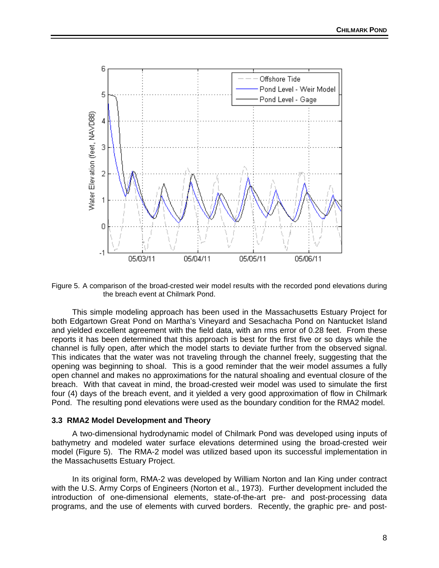

Figure 5. A comparison of the broad-crested weir model results with the recorded pond elevations during the breach event at Chilmark Pond.

 This simple modeling approach has been used in the Massachusetts Estuary Project for both Edgartown Great Pond on Martha's Vineyard and Sesachacha Pond on Nantucket Island and yielded excellent agreement with the field data, with an rms error of 0.28 feet. From these reports it has been determined that this approach is best for the first five or so days while the channel is fully open, after which the model starts to deviate further from the observed signal. This indicates that the water was not traveling through the channel freely, suggesting that the opening was beginning to shoal. This is a good reminder that the weir model assumes a fully open channel and makes no approximations for the natural shoaling and eventual closure of the breach. With that caveat in mind, the broad-crested weir model was used to simulate the first four (4) days of the breach event, and it yielded a very good approximation of flow in Chilmark Pond. The resulting pond elevations were used as the boundary condition for the RMA2 model.

#### **3.3 RMA2 Model Development and Theory**

 A two-dimensional hydrodynamic model of Chilmark Pond was developed using inputs of bathymetry and modeled water surface elevations determined using the broad-crested weir model (Figure 5). The RMA-2 model was utilized based upon its successful implementation in the Massachusetts Estuary Project.

 In its original form, RMA-2 was developed by William Norton and Ian King under contract with the U.S. Army Corps of Engineers (Norton et al., 1973). Further development included the introduction of one-dimensional elements, state-of-the-art pre- and post-processing data programs, and the use of elements with curved borders. Recently, the graphic pre- and post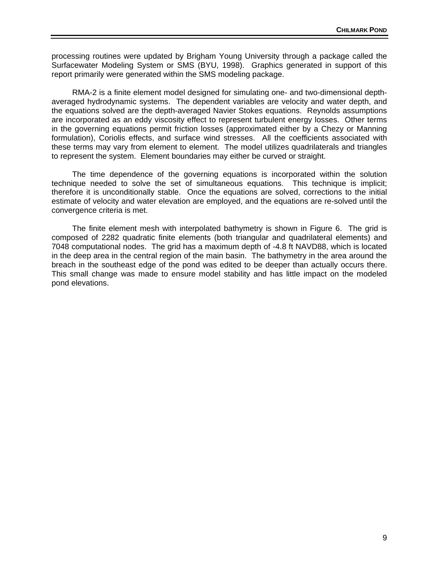processing routines were updated by Brigham Young University through a package called the Surfacewater Modeling System or SMS (BYU, 1998). Graphics generated in support of this report primarily were generated within the SMS modeling package.

 RMA-2 is a finite element model designed for simulating one- and two-dimensional depthaveraged hydrodynamic systems. The dependent variables are velocity and water depth, and the equations solved are the depth-averaged Navier Stokes equations. Reynolds assumptions are incorporated as an eddy viscosity effect to represent turbulent energy losses. Other terms in the governing equations permit friction losses (approximated either by a Chezy or Manning formulation), Coriolis effects, and surface wind stresses. All the coefficients associated with these terms may vary from element to element. The model utilizes quadrilaterals and triangles to represent the system. Element boundaries may either be curved or straight.

 The time dependence of the governing equations is incorporated within the solution technique needed to solve the set of simultaneous equations. This technique is implicit; therefore it is unconditionally stable. Once the equations are solved, corrections to the initial estimate of velocity and water elevation are employed, and the equations are re-solved until the convergence criteria is met.

 The finite element mesh with interpolated bathymetry is shown in Figure 6. The grid is composed of 2282 quadratic finite elements (both triangular and quadrilateral elements) and 7048 computational nodes. The grid has a maximum depth of -4.8 ft NAVD88, which is located in the deep area in the central region of the main basin. The bathymetry in the area around the breach in the southeast edge of the pond was edited to be deeper than actually occurs there. This small change was made to ensure model stability and has little impact on the modeled pond elevations.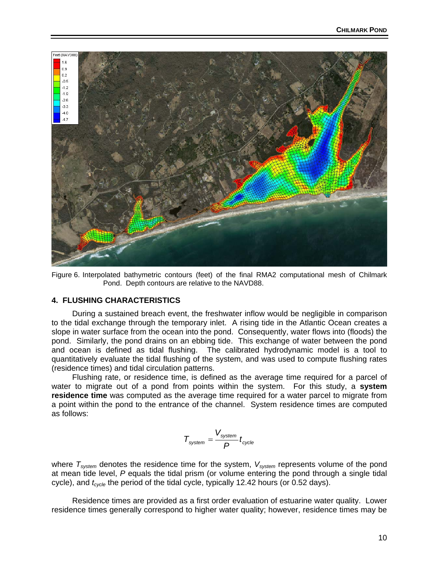

Figure 6. Interpolated bathymetric contours (feet) of the final RMA2 computational mesh of Chilmark Pond. Depth contours are relative to the NAVD88.

#### **4. FLUSHING CHARACTERISTICS**

 During a sustained breach event, the freshwater inflow would be negligible in comparison to the tidal exchange through the temporary inlet. A rising tide in the Atlantic Ocean creates a slope in water surface from the ocean into the pond. Consequently, water flows into (floods) the pond. Similarly, the pond drains on an ebbing tide. This exchange of water between the pond and ocean is defined as tidal flushing. The calibrated hydrodynamic model is a tool to quantitatively evaluate the tidal flushing of the system, and was used to compute flushing rates (residence times) and tidal circulation patterns.

 Flushing rate, or residence time, is defined as the average time required for a parcel of water to migrate out of a pond from points within the system. For this study, a **system residence time** was computed as the average time required for a water parcel to migrate from a point within the pond to the entrance of the channel. System residence times are computed as follows:

$$
\mathcal{T}_\text{system} = \frac{V_\text{system}}{P} t_\text{cycle}
$$

where  $T_{system}$  denotes the residence time for the system,  $V_{system}$  represents volume of the pond at mean tide level, *P* equals the tidal prism (or volume entering the pond through a single tidal cycle), and  $t_{cycle}$  the period of the tidal cycle, typically 12.42 hours (or 0.52 days).

 Residence times are provided as a first order evaluation of estuarine water quality. Lower residence times generally correspond to higher water quality; however, residence times may be